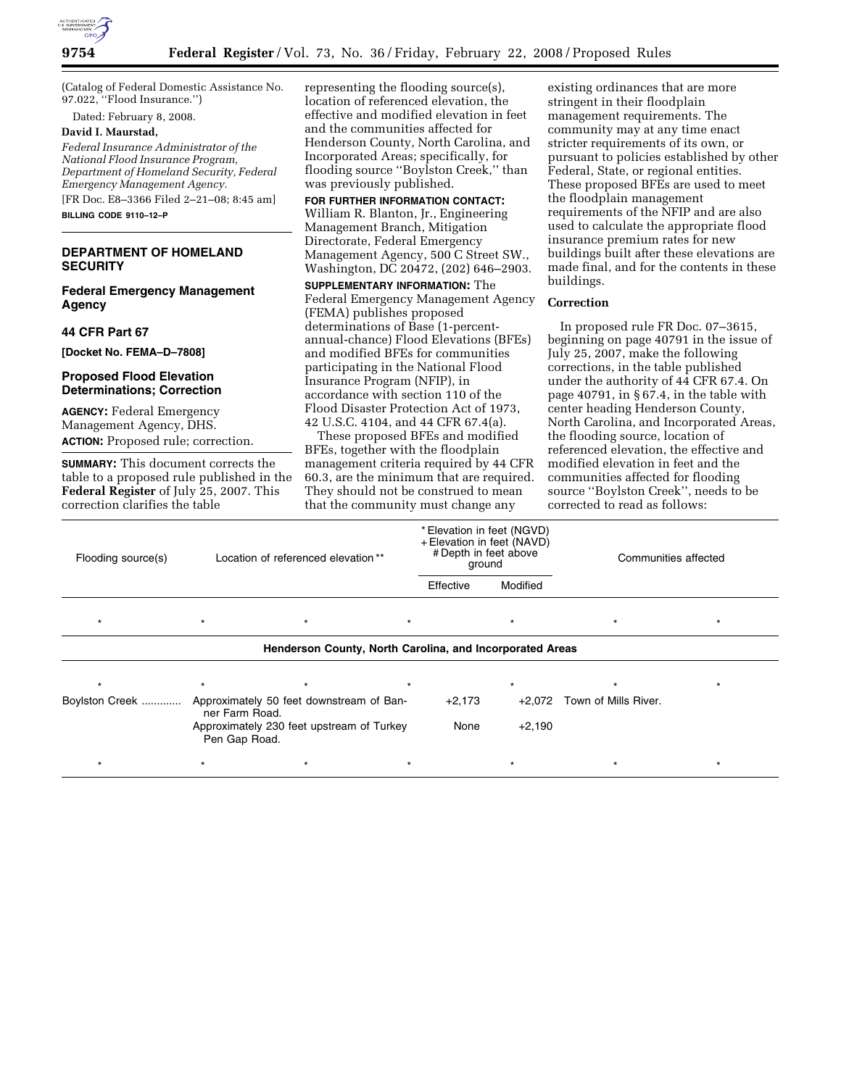

(Catalog of Federal Domestic Assistance No. 97.022, ''Flood Insurance.'')

Dated: February 8, 2008.

#### **David I. Maurstad,**

*Federal Insurance Administrator of the National Flood Insurance Program, Department of Homeland Security, Federal Emergency Management Agency.*  [FR Doc. E8–3366 Filed 2–21–08; 8:45 am]

**BILLING CODE 9110–12–P** 

## **DEPARTMENT OF HOMELAND SECURITY**

**Federal Emergency Management Agency** 

**44 CFR Part 67** 

**[Docket No. FEMA–D–7808]** 

## **Proposed Flood Elevation Determinations; Correction**

**AGENCY:** Federal Emergency Management Agency, DHS. **ACTION:** Proposed rule; correction.

**SUMMARY:** This document corrects the table to a proposed rule published in the **Federal Register** of July 25, 2007. This correction clarifies the table

representing the flooding source(s), location of referenced elevation, the effective and modified elevation in feet and the communities affected for Henderson County, North Carolina, and Incorporated Areas; specifically, for flooding source ''Boylston Creek,'' than was previously published.

**FOR FURTHER INFORMATION CONTACT:**  William R. Blanton, Jr., Engineering Management Branch, Mitigation Directorate, Federal Emergency Management Agency, 500 C Street SW., Washington, DC 20472, (202) 646–2903.

**SUPPLEMENTARY INFORMATION:** The Federal Emergency Management Agency (FEMA) publishes proposed determinations of Base (1-percentannual-chance) Flood Elevations (BFEs) and modified BFEs for communities participating in the National Flood Insurance Program (NFIP), in accordance with section 110 of the Flood Disaster Protection Act of 1973, 42 U.S.C. 4104, and 44 CFR 67.4(a).

These proposed BFEs and modified BFEs, together with the floodplain management criteria required by 44 CFR 60.3, are the minimum that are required. They should not be construed to mean that the community must change any

existing ordinances that are more stringent in their floodplain management requirements. The community may at any time enact stricter requirements of its own, or pursuant to policies established by other Federal, State, or regional entities. These proposed BFEs are used to meet the floodplain management requirements of the NFIP and are also used to calculate the appropriate flood insurance premium rates for new buildings built after these elevations are made final, and for the contents in these buildings.

## **Correction**

In proposed rule FR Doc. 07–3615, beginning on page 40791 in the issue of July 25, 2007, make the following corrections, in the table published under the authority of 44 CFR 67.4. On page 40791, in  $\S$ 67.4, in the table with center heading Henderson County, North Carolina, and Incorporated Areas, the flooding source, location of referenced elevation, the effective and modified elevation in feet and the communities affected for flooding source ''Boylston Creek'', needs to be corrected to read as follows:

| Flooding source(s)                                       | Location of referenced elevation**                         |                                          |         | * Elevation in feet (NGVD)<br>+ Elevation in feet (NAVD)<br># Depth in feet above<br>ground |          | Communities affected        |         |
|----------------------------------------------------------|------------------------------------------------------------|------------------------------------------|---------|---------------------------------------------------------------------------------------------|----------|-----------------------------|---------|
|                                                          |                                                            |                                          |         | Effective                                                                                   | Modified |                             |         |
| $\star$                                                  | $\star$                                                    | $\star$                                  | $\star$ |                                                                                             | $\star$  | $\star$                     | $\star$ |
| Henderson County, North Carolina, and Incorporated Areas |                                                            |                                          |         |                                                                                             |          |                             |         |
|                                                          | $\star$                                                    | $\star$                                  | $\star$ |                                                                                             | $\star$  |                             |         |
| Boylston Creek                                           | ner Farm Road.                                             | Approximately 50 feet downstream of Ban- |         | $+2,173$                                                                                    |          | +2,072 Town of Mills River. |         |
|                                                          | Approximately 230 feet upstream of Turkey<br>Pen Gap Road. |                                          |         | None                                                                                        | $+2,190$ |                             |         |
|                                                          |                                                            | $\star$                                  | $\star$ |                                                                                             | *        |                             | $\star$ |